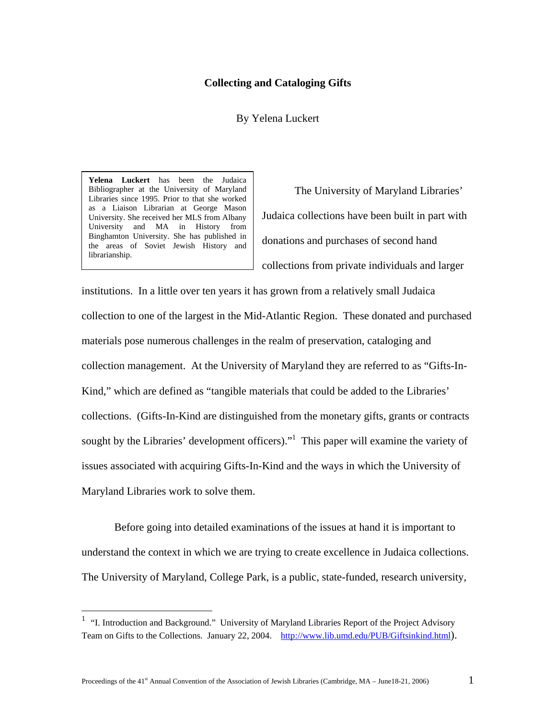## **Collecting and Cataloging Gifts**

By Yelena Luckert

**Yelena Luckert** has been the Judaica Bibliographer at the University of Maryland Libraries since 1995. Prior to that she worked as a Liaison Librarian at George Mason University. She received her MLS from Albany University and MA in History from Binghamton University. She has published in the areas of Soviet Jewish History and librarianship.

<u>.</u>

The University of Maryland Libraries' Judaica collections have been built in part with donations and purchases of second hand collections from private individuals and larger

institutions. In a little over ten years it has grown from a relatively small Judaica collection to one of the largest in the Mid-Atlantic Region. These donated and purchased materials pose numerous challenges in the realm of preservation, cataloging and collection management. At the University of Maryland they are referred to as "Gifts-In-Kind," which are defined as "tangible materials that could be added to the Libraries' collections. (Gifts-In-Kind are distinguished from the monetary gifts, grants or contracts sought by the Libraries' development officers)."<sup>1</sup> This paper will examine the variety of issues associated with acquiring Gifts-In-Kind and the ways in which the University of Maryland Libraries work to solve them.

Before going into detailed examinations of the issues at hand it is important to understand the context in which we are trying to create excellence in Judaica collections. The University of Maryland, College Park, is a public, state-funded, research university,

<span id="page-0-0"></span><sup>&</sup>lt;sup>1</sup> "I. Introduction and Background." University of Maryland Libraries Report of the Project Advisory Team on Gifts to the Collections. January 22, 2004. [http://www.lib.umd.edu/PUB/Giftsinkind.html\)](http://www.lib.umd.edu/PUB/Giftsinkind.html).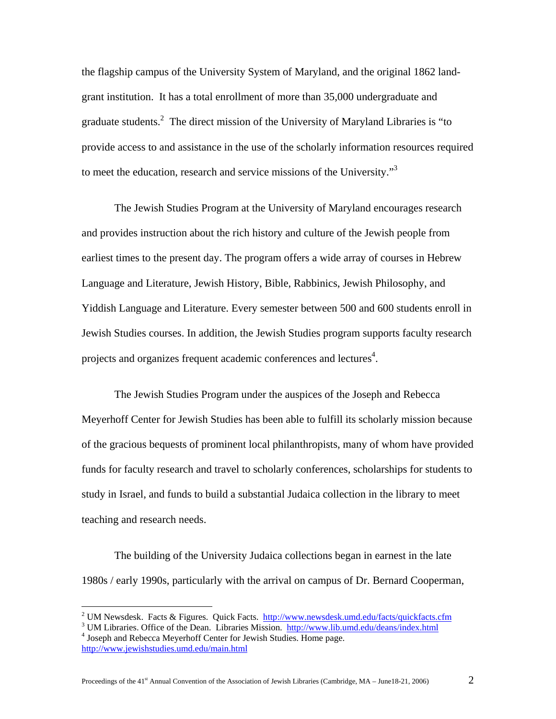the flagship campus of the University System of Maryland, and the original 1862 landgrant institution. It has a total enrollment of more than 35,000 undergraduate and graduate students.<sup>[2](#page-1-0)</sup> The direct mission of the University of Maryland Libraries is "to provide access to and assistance in the use of the scholarly information resources required to meet the education, research and service missions of the University."<sup>[3](#page-1-1)</sup>

The Jewish Studies Program at the University of Maryland encourages research and provides instruction about the rich history and culture of the Jewish people from earliest times to the present day. The program offers a wide array of courses in Hebrew Language and Literature, Jewish History, Bible, Rabbinics, Jewish Philosophy, and Yiddish Language and Literature. Every semester between 500 and 600 students enroll in Jewish Studies courses. In addition, the Jewish Studies program supports faculty research projects and organizes frequent academic conferences and lectures<sup>4</sup>.

The Jewish Studies Program under the auspices of the Joseph and Rebecca Meyerhoff Center for Jewish Studies has been able to fulfill its scholarly mission because of the gracious bequests of prominent local philanthropists, many of whom have provided funds for faculty research and travel to scholarly conferences, scholarships for students to study in Israel, and funds to build a substantial Judaica collection in the library to meet teaching and research needs.

The building of the University Judaica collections began in earnest in the late 1980s / early 1990s, particularly with the arrival on campus of Dr. Bernard Cooperman,

<u>.</u>

<span id="page-1-0"></span><sup>&</sup>lt;sup>2</sup> UM Newsdesk. Facts & Figures. Quick Facts. <http://www.newsdesk.umd.edu/facts/quickfacts.cfm>

<span id="page-1-2"></span><span id="page-1-1"></span><sup>&</sup>lt;sup>3</sup> UM Libraries. Office of the Dean. Libraries Mission. <http://www.lib.umd.edu/deans/index.html> <sup>4</sup> Joseph and Rebecca Meyerhoff Center for Jewish Studies. Home page. <http://www.jewishstudies.umd.edu/main.html>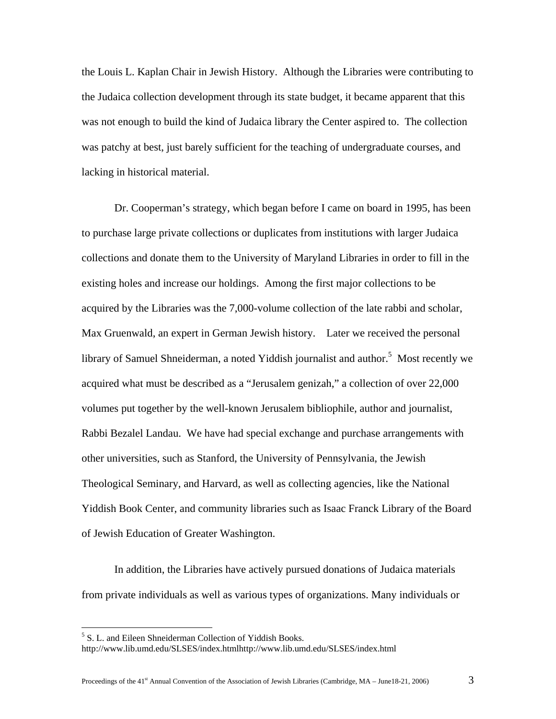the Louis L. Kaplan Chair in Jewish History. Although the Libraries were contributing to the Judaica collection development through its state budget, it became apparent that this was not enough to build the kind of Judaica library the Center aspired to. The collection was patchy at best, just barely sufficient for the teaching of undergraduate courses, and lacking in historical material.

Dr. Cooperman's strategy, which began before I came on board in 1995, has been to purchase large private collections or duplicates from institutions with larger Judaica collections and donate them to the University of Maryland Libraries in order to fill in the existing holes and increase our holdings. Among the first major collections to be acquired by the Libraries was the 7,000-volume collection of the late rabbi and scholar, Max Gruenwald, an expert in German Jewish history. Later we received the personal library of Samuel Shneiderman, a noted Yiddish journalist and author.<sup>5</sup> Most recently we acquired what must be described as a "Jerusalem genizah," a collection of over 22,000 volumes put together by the well-known Jerusalem bibliophile, author and journalist, Rabbi Bezalel Landau. We have had special exchange and purchase arrangements with other universities, such as Stanford, the University of Pennsylvania, the Jewish Theological Seminary, and Harvard, as well as collecting agencies, like the National Yiddish Book Center, and community libraries such as Isaac Franck Library of the Board of Jewish Education of Greater Washington.

In addition, the Libraries have actively pursued donations of Judaica materials from private individuals as well as various types of organizations. Many individuals or

1

<span id="page-2-0"></span><sup>5</sup> S. L. and Eileen Shneiderman Collection of Yiddish Books.

http://www.lib.umd.edu/SLSES/index.htmlhttp://www.lib.umd.edu/SLSES/index.html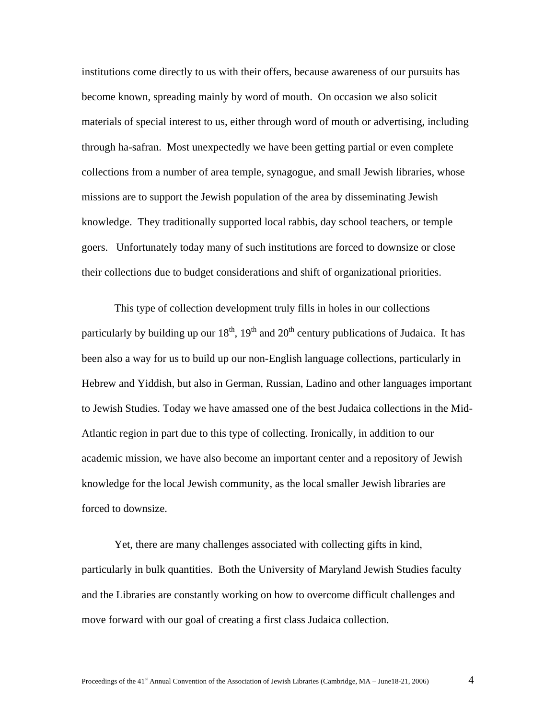institutions come directly to us with their offers, because awareness of our pursuits has become known, spreading mainly by word of mouth. On occasion we also solicit materials of special interest to us, either through word of mouth or advertising, including through ha-safran. Most unexpectedly we have been getting partial or even complete collections from a number of area temple, synagogue, and small Jewish libraries, whose missions are to support the Jewish population of the area by disseminating Jewish knowledge. They traditionally supported local rabbis, day school teachers, or temple goers. Unfortunately today many of such institutions are forced to downsize or close their collections due to budget considerations and shift of organizational priorities.

This type of collection development truly fills in holes in our collections particularly by building up our  $18<sup>th</sup>$ ,  $19<sup>th</sup>$  and  $20<sup>th</sup>$  century publications of Judaica. It has been also a way for us to build up our non-English language collections, particularly in Hebrew and Yiddish, but also in German, Russian, Ladino and other languages important to Jewish Studies. Today we have amassed one of the best Judaica collections in the Mid-Atlantic region in part due to this type of collecting. Ironically, in addition to our academic mission, we have also become an important center and a repository of Jewish knowledge for the local Jewish community, as the local smaller Jewish libraries are forced to downsize.

Yet, there are many challenges associated with collecting gifts in kind, particularly in bulk quantities. Both the University of Maryland Jewish Studies faculty and the Libraries are constantly working on how to overcome difficult challenges and move forward with our goal of creating a first class Judaica collection.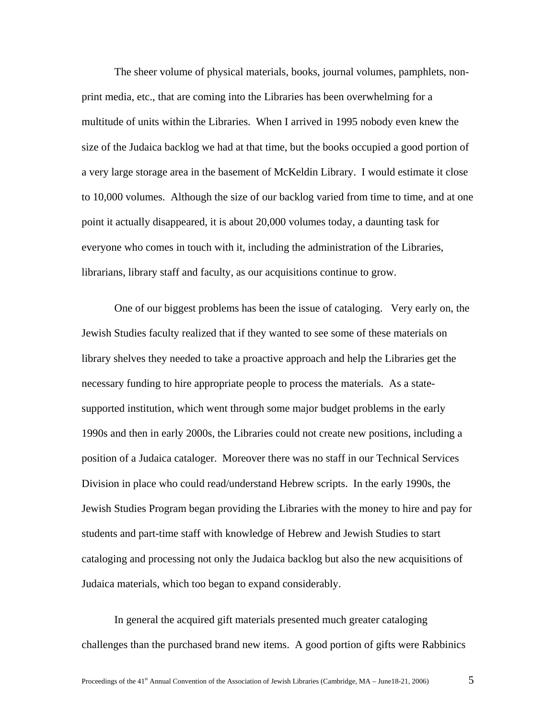The sheer volume of physical materials, books, journal volumes, pamphlets, nonprint media, etc., that are coming into the Libraries has been overwhelming for a multitude of units within the Libraries. When I arrived in 1995 nobody even knew the size of the Judaica backlog we had at that time, but the books occupied a good portion of a very large storage area in the basement of McKeldin Library. I would estimate it close to 10,000 volumes. Although the size of our backlog varied from time to time, and at one point it actually disappeared, it is about 20,000 volumes today, a daunting task for everyone who comes in touch with it, including the administration of the Libraries, librarians, library staff and faculty, as our acquisitions continue to grow.

One of our biggest problems has been the issue of cataloging. Very early on, the Jewish Studies faculty realized that if they wanted to see some of these materials on library shelves they needed to take a proactive approach and help the Libraries get the necessary funding to hire appropriate people to process the materials. As a statesupported institution, which went through some major budget problems in the early 1990s and then in early 2000s, the Libraries could not create new positions, including a position of a Judaica cataloger. Moreover there was no staff in our Technical Services Division in place who could read/understand Hebrew scripts. In the early 1990s, the Jewish Studies Program began providing the Libraries with the money to hire and pay for students and part-time staff with knowledge of Hebrew and Jewish Studies to start cataloging and processing not only the Judaica backlog but also the new acquisitions of Judaica materials, which too began to expand considerably.

In general the acquired gift materials presented much greater cataloging challenges than the purchased brand new items. A good portion of gifts were Rabbinics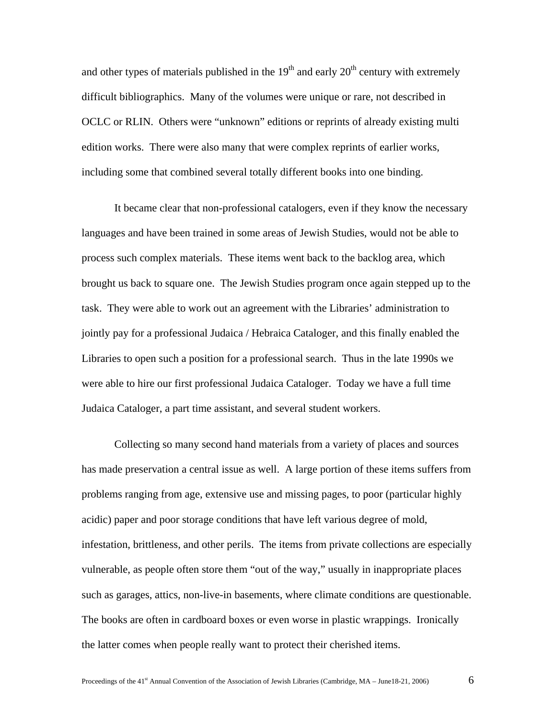and other types of materials published in the  $19<sup>th</sup>$  and early  $20<sup>th</sup>$  century with extremely difficult bibliographics. Many of the volumes were unique or rare, not described in OCLC or RLIN. Others were "unknown" editions or reprints of already existing multi edition works. There were also many that were complex reprints of earlier works, including some that combined several totally different books into one binding.

It became clear that non-professional catalogers, even if they know the necessary languages and have been trained in some areas of Jewish Studies, would not be able to process such complex materials. These items went back to the backlog area, which brought us back to square one. The Jewish Studies program once again stepped up to the task. They were able to work out an agreement with the Libraries' administration to jointly pay for a professional Judaica / Hebraica Cataloger, and this finally enabled the Libraries to open such a position for a professional search. Thus in the late 1990s we were able to hire our first professional Judaica Cataloger. Today we have a full time Judaica Cataloger, a part time assistant, and several student workers.

Collecting so many second hand materials from a variety of places and sources has made preservation a central issue as well. A large portion of these items suffers from problems ranging from age, extensive use and missing pages, to poor (particular highly acidic) paper and poor storage conditions that have left various degree of mold, infestation, brittleness, and other perils. The items from private collections are especially vulnerable, as people often store them "out of the way," usually in inappropriate places such as garages, attics, non-live-in basements, where climate conditions are questionable. The books are often in cardboard boxes or even worse in plastic wrappings. Ironically the latter comes when people really want to protect their cherished items.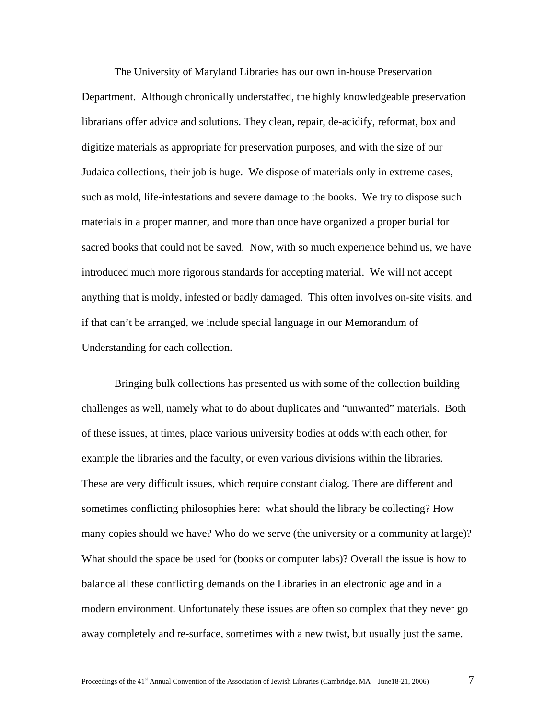The University of Maryland Libraries has our own in-house Preservation Department. Although chronically understaffed, the highly knowledgeable preservation librarians offer advice and solutions. They clean, repair, de-acidify, reformat, box and digitize materials as appropriate for preservation purposes, and with the size of our Judaica collections, their job is huge. We dispose of materials only in extreme cases, such as mold, life-infestations and severe damage to the books. We try to dispose such materials in a proper manner, and more than once have organized a proper burial for sacred books that could not be saved. Now, with so much experience behind us, we have introduced much more rigorous standards for accepting material. We will not accept anything that is moldy, infested or badly damaged. This often involves on-site visits, and if that can't be arranged, we include special language in our Memorandum of Understanding for each collection.

Bringing bulk collections has presented us with some of the collection building challenges as well, namely what to do about duplicates and "unwanted" materials. Both of these issues, at times, place various university bodies at odds with each other, for example the libraries and the faculty, or even various divisions within the libraries. These are very difficult issues, which require constant dialog. There are different and sometimes conflicting philosophies here: what should the library be collecting? How many copies should we have? Who do we serve (the university or a community at large)? What should the space be used for (books or computer labs)? Overall the issue is how to balance all these conflicting demands on the Libraries in an electronic age and in a modern environment. Unfortunately these issues are often so complex that they never go away completely and re-surface, sometimes with a new twist, but usually just the same.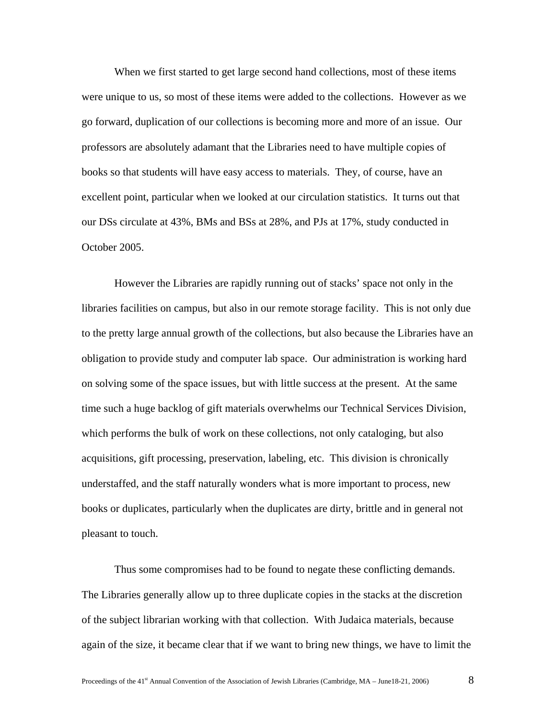When we first started to get large second hand collections, most of these items were unique to us, so most of these items were added to the collections. However as we go forward, duplication of our collections is becoming more and more of an issue. Our professors are absolutely adamant that the Libraries need to have multiple copies of books so that students will have easy access to materials. They, of course, have an excellent point, particular when we looked at our circulation statistics. It turns out that our DSs circulate at 43%, BMs and BSs at 28%, and PJs at 17%, study conducted in October 2005.

However the Libraries are rapidly running out of stacks' space not only in the libraries facilities on campus, but also in our remote storage facility. This is not only due to the pretty large annual growth of the collections, but also because the Libraries have an obligation to provide study and computer lab space. Our administration is working hard on solving some of the space issues, but with little success at the present. At the same time such a huge backlog of gift materials overwhelms our Technical Services Division, which performs the bulk of work on these collections, not only cataloging, but also acquisitions, gift processing, preservation, labeling, etc. This division is chronically understaffed, and the staff naturally wonders what is more important to process, new books or duplicates, particularly when the duplicates are dirty, brittle and in general not pleasant to touch.

Thus some compromises had to be found to negate these conflicting demands. The Libraries generally allow up to three duplicate copies in the stacks at the discretion of the subject librarian working with that collection. With Judaica materials, because again of the size, it became clear that if we want to bring new things, we have to limit the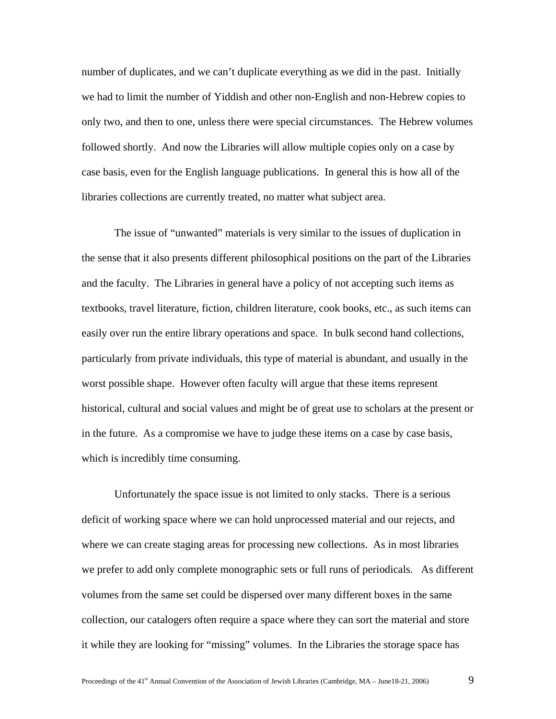number of duplicates, and we can't duplicate everything as we did in the past. Initially we had to limit the number of Yiddish and other non-English and non-Hebrew copies to only two, and then to one, unless there were special circumstances. The Hebrew volumes followed shortly. And now the Libraries will allow multiple copies only on a case by case basis, even for the English language publications. In general this is how all of the libraries collections are currently treated, no matter what subject area.

The issue of "unwanted" materials is very similar to the issues of duplication in the sense that it also presents different philosophical positions on the part of the Libraries and the faculty. The Libraries in general have a policy of not accepting such items as textbooks, travel literature, fiction, children literature, cook books, etc., as such items can easily over run the entire library operations and space. In bulk second hand collections, particularly from private individuals, this type of material is abundant, and usually in the worst possible shape. However often faculty will argue that these items represent historical, cultural and social values and might be of great use to scholars at the present or in the future. As a compromise we have to judge these items on a case by case basis, which is incredibly time consuming.

Unfortunately the space issue is not limited to only stacks. There is a serious deficit of working space where we can hold unprocessed material and our rejects, and where we can create staging areas for processing new collections. As in most libraries we prefer to add only complete monographic sets or full runs of periodicals. As different volumes from the same set could be dispersed over many different boxes in the same collection, our catalogers often require a space where they can sort the material and store it while they are looking for "missing" volumes. In the Libraries the storage space has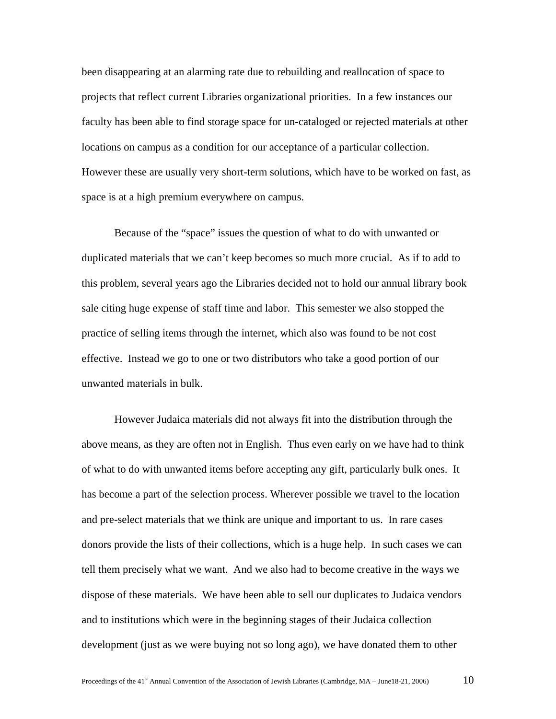been disappearing at an alarming rate due to rebuilding and reallocation of space to projects that reflect current Libraries organizational priorities. In a few instances our faculty has been able to find storage space for un-cataloged or rejected materials at other locations on campus as a condition for our acceptance of a particular collection. However these are usually very short-term solutions, which have to be worked on fast, as space is at a high premium everywhere on campus.

Because of the "space" issues the question of what to do with unwanted or duplicated materials that we can't keep becomes so much more crucial. As if to add to this problem, several years ago the Libraries decided not to hold our annual library book sale citing huge expense of staff time and labor. This semester we also stopped the practice of selling items through the internet, which also was found to be not cost effective. Instead we go to one or two distributors who take a good portion of our unwanted materials in bulk.

However Judaica materials did not always fit into the distribution through the above means, as they are often not in English. Thus even early on we have had to think of what to do with unwanted items before accepting any gift, particularly bulk ones. It has become a part of the selection process. Wherever possible we travel to the location and pre-select materials that we think are unique and important to us. In rare cases donors provide the lists of their collections, which is a huge help. In such cases we can tell them precisely what we want. And we also had to become creative in the ways we dispose of these materials. We have been able to sell our duplicates to Judaica vendors and to institutions which were in the beginning stages of their Judaica collection development (just as we were buying not so long ago), we have donated them to other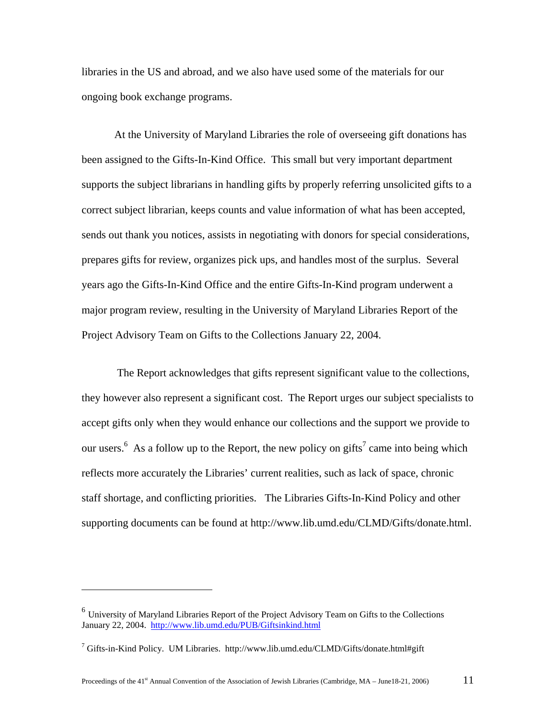libraries in the US and abroad, and we also have used some of the materials for our ongoing book exchange programs.

At the University of Maryland Libraries the role of overseeing gift donations has been assigned to the Gifts-In-Kind Office. This small but very important department supports the subject librarians in handling gifts by properly referring unsolicited gifts to a correct subject librarian, keeps counts and value information of what has been accepted, sends out thank you notices, assists in negotiating with donors for special considerations, prepares gifts for review, organizes pick ups, and handles most of the surplus. Several years ago the Gifts-In-Kind Office and the entire Gifts-In-Kind program underwent a major program review, resulting in the University of Maryland Libraries Report of the Project Advisory Team on Gifts to the Collections January 22, 2004.

 The Report acknowledges that gifts represent significant value to the collections, they however also represent a significant cost. The Report urges our subject specialists to accept gifts only when they would enhance our collections and the support we provide to our users.<sup>[6](#page-10-0)</sup> As a follow up to the Report, the new policy on gifts<sup>[7](#page-10-1)</sup> came into being which reflects more accurately the Libraries' current realities, such as lack of space, chronic staff shortage, and conflicting priorities. The Libraries Gifts-In-Kind Policy and other supporting documents can be found at http://www.lib.umd.edu/CLMD/Gifts/donate.html.

 $\overline{a}$ 

<span id="page-10-0"></span> $<sup>6</sup>$  University of Maryland Libraries Report of the Project Advisory Team on Gifts to the Collections</sup> January 22, 2004. <http://www.lib.umd.edu/PUB/Giftsinkind.html>

<span id="page-10-1"></span><sup>&</sup>lt;sup>7</sup> Gifts-in-Kind Policy. UM Libraries. http://www.lib.umd.edu/CLMD/Gifts/donate.html#gift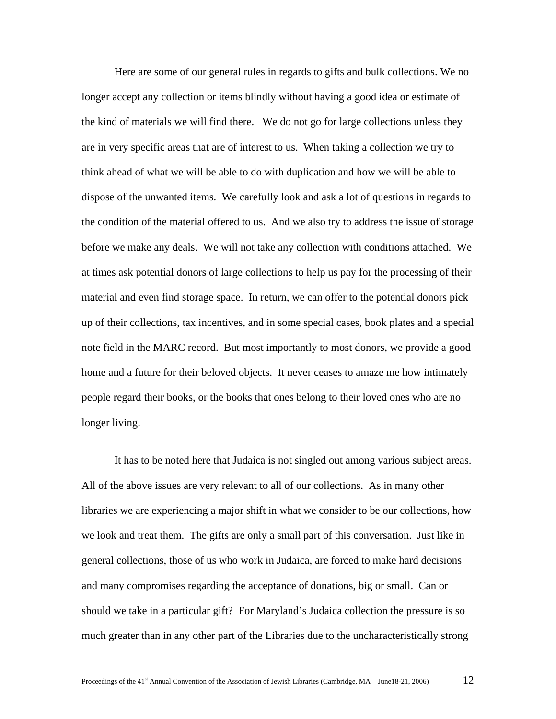Here are some of our general rules in regards to gifts and bulk collections. We no longer accept any collection or items blindly without having a good idea or estimate of the kind of materials we will find there. We do not go for large collections unless they are in very specific areas that are of interest to us. When taking a collection we try to think ahead of what we will be able to do with duplication and how we will be able to dispose of the unwanted items. We carefully look and ask a lot of questions in regards to the condition of the material offered to us. And we also try to address the issue of storage before we make any deals. We will not take any collection with conditions attached. We at times ask potential donors of large collections to help us pay for the processing of their material and even find storage space. In return, we can offer to the potential donors pick up of their collections, tax incentives, and in some special cases, book plates and a special note field in the MARC record. But most importantly to most donors, we provide a good home and a future for their beloved objects. It never ceases to amaze me how intimately people regard their books, or the books that ones belong to their loved ones who are no longer living.

It has to be noted here that Judaica is not singled out among various subject areas. All of the above issues are very relevant to all of our collections. As in many other libraries we are experiencing a major shift in what we consider to be our collections, how we look and treat them. The gifts are only a small part of this conversation. Just like in general collections, those of us who work in Judaica, are forced to make hard decisions and many compromises regarding the acceptance of donations, big or small. Can or should we take in a particular gift? For Maryland's Judaica collection the pressure is so much greater than in any other part of the Libraries due to the uncharacteristically strong